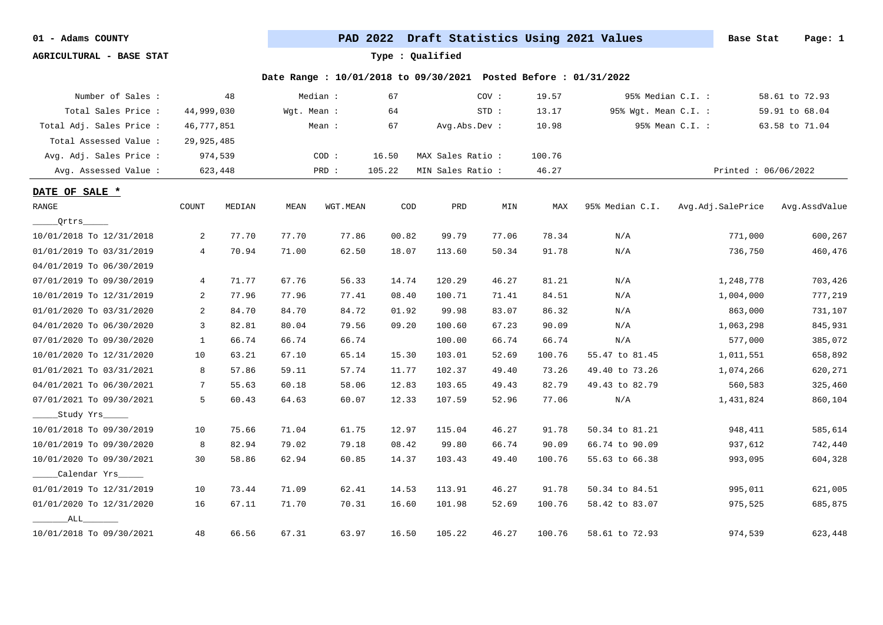**AGRICULTURAL - BASE STAT Type : Qualified**

| Number of Sales :        |                | 48      |             | Median : | 67     |                   | COV:  | 19.57  |                      | 95% Median C.I. :   | 58.61 to 72.93 |
|--------------------------|----------------|---------|-------------|----------|--------|-------------------|-------|--------|----------------------|---------------------|----------------|
| Total Sales Price :      | 44,999,030     |         | Wgt. Mean : |          | 64     |                   | STD:  | 13.17  | 95% Wgt. Mean C.I. : |                     | 59.91 to 68.04 |
| Total Adj. Sales Price : | 46,777,851     |         |             | Mean :   | 67     | Avg.Abs.Dev :     |       | 10.98  |                      | 95% Mean C.I. :     | 63.58 to 71.04 |
| Total Assessed Value:    | 29,925,485     |         |             |          |        |                   |       |        |                      |                     |                |
| Avg. Adj. Sales Price :  |                | 974,539 |             | COD:     | 16.50  | MAX Sales Ratio:  |       | 100.76 |                      |                     |                |
| Avg. Assessed Value :    |                | 623,448 |             | PRD :    | 105.22 | MIN Sales Ratio : |       | 46.27  |                      | Printed: 06/06/2022 |                |
| DATE OF SALE *           |                |         |             |          |        |                   |       |        |                      |                     |                |
| <b>RANGE</b>             | COUNT          | MEDIAN  | MEAN        | WGT.MEAN | COD    | PRD               | MIN   | MAX    | 95% Median C.I.      | Avg.Adj.SalePrice   | Avg.AssdValue  |
| Qrtrs_____               |                |         |             |          |        |                   |       |        |                      |                     |                |
| 10/01/2018 To 12/31/2018 | 2              | 77.70   | 77.70       | 77.86    | 00.82  | 99.79             | 77.06 | 78.34  | N/A                  | 771,000             | 600,267        |
| 01/01/2019 To 03/31/2019 | $\overline{4}$ | 70.94   | 71.00       | 62.50    | 18.07  | 113.60            | 50.34 | 91.78  | N/A                  | 736,750             | 460,476        |
| 04/01/2019 To 06/30/2019 |                |         |             |          |        |                   |       |        |                      |                     |                |
| 07/01/2019 To 09/30/2019 | $\overline{4}$ | 71.77   | 67.76       | 56.33    | 14.74  | 120.29            | 46.27 | 81.21  | N/A                  | 1,248,778           | 703,426        |
| 10/01/2019 To 12/31/2019 | $\overline{a}$ | 77.96   | 77.96       | 77.41    | 08.40  | 100.71            | 71.41 | 84.51  | N/A                  | 1,004,000           | 777,219        |
| 01/01/2020 To 03/31/2020 | 2              | 84.70   | 84.70       | 84.72    | 01.92  | 99.98             | 83.07 | 86.32  | N/A                  | 863,000             | 731,107        |
| 04/01/2020 To 06/30/2020 | 3              | 82.81   | 80.04       | 79.56    | 09.20  | 100.60            | 67.23 | 90.09  | N/A                  | 1,063,298           | 845,931        |
| 07/01/2020 To 09/30/2020 | $\mathbf{1}$   | 66.74   | 66.74       | 66.74    |        | 100.00            | 66.74 | 66.74  | N/A                  | 577,000             | 385,072        |
| 10/01/2020 To 12/31/2020 | 10             | 63.21   | 67.10       | 65.14    | 15.30  | 103.01            | 52.69 | 100.76 | 55.47 to 81.45       | 1,011,551           | 658,892        |
| 01/01/2021 To 03/31/2021 | 8              | 57.86   | 59.11       | 57.74    | 11.77  | 102.37            | 49.40 | 73.26  | 49.40 to 73.26       | 1,074,266           | 620,271        |
| 04/01/2021 To 06/30/2021 | 7              | 55.63   | 60.18       | 58.06    | 12.83  | 103.65            | 49.43 | 82.79  | 49.43 to 82.79       | 560,583             | 325,460        |
| 07/01/2021 To 09/30/2021 | 5              | 60.43   | 64.63       | 60.07    | 12.33  | 107.59            | 52.96 | 77.06  | N/A                  | 1,431,824           | 860,104        |
| Study Yrs                |                |         |             |          |        |                   |       |        |                      |                     |                |
| 10/01/2018 To 09/30/2019 | 10             | 75.66   | 71.04       | 61.75    | 12.97  | 115.04            | 46.27 | 91.78  | 50.34 to 81.21       | 948,411             | 585,614        |
| 10/01/2019 To 09/30/2020 | 8              | 82.94   | 79.02       | 79.18    | 08.42  | 99.80             | 66.74 | 90.09  | 66.74 to 90.09       | 937,612             | 742,440        |
| 10/01/2020 To 09/30/2021 | 30             | 58.86   | 62.94       | 60.85    | 14.37  | 103.43            | 49.40 | 100.76 | 55.63 to 66.38       | 993,095             | 604,328        |
| Calendar Yrs             |                |         |             |          |        |                   |       |        |                      |                     |                |
| 01/01/2019 To 12/31/2019 | 10             | 73.44   | 71.09       | 62.41    | 14.53  | 113.91            | 46.27 | 91.78  | 50.34 to 84.51       | 995,011             | 621,005        |
| 01/01/2020 To 12/31/2020 | 16             | 67.11   | 71.70       | 70.31    | 16.60  | 101.98            | 52.69 | 100.76 | 58.42 to 83.07       | 975,525             | 685,875        |
| ALL                      |                |         |             |          |        |                   |       |        |                      |                     |                |
| 10/01/2018 To 09/30/2021 | 48             | 66.56   | 67.31       | 63.97    | 16.50  | 105.22            | 46.27 | 100.76 | 58.61 to 72.93       | 974,539             | 623,448        |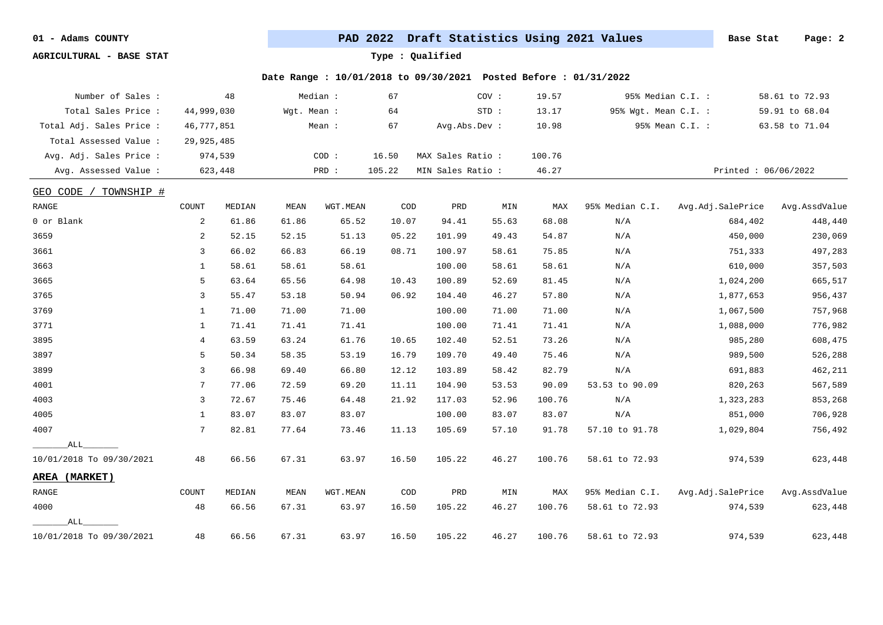**AGRICULTURAL - BASE STAT Type : Qualified**

| Number of Sales :        |                | 48      |             | Median : | 67                          |                   | cov:  | 19.57  |                      | 95% Median C.I. : | 58.61 to 72.93      |
|--------------------------|----------------|---------|-------------|----------|-----------------------------|-------------------|-------|--------|----------------------|-------------------|---------------------|
| Total Sales Price :      | 44,999,030     |         | Wgt. Mean : |          | 64                          |                   | STD:  | 13.17  | 95% Wgt. Mean C.I. : |                   | 59.91 to 68.04      |
| Total Adj. Sales Price : | 46,777,851     |         |             | Mean :   | 67                          | Avg.Abs.Dev :     |       | 10.98  |                      | 95% Mean C.I. :   | 63.58 to 71.04      |
| Total Assessed Value :   | 29,925,485     |         |             |          |                             |                   |       |        |                      |                   |                     |
| Avg. Adj. Sales Price :  |                | 974,539 |             | COD:     | 16.50                       | MAX Sales Ratio : |       | 100.76 |                      |                   |                     |
| Avg. Assessed Value :    |                | 623,448 |             | PRD :    | 105.22                      | MIN Sales Ratio : |       | 46.27  |                      |                   | Printed: 06/06/2022 |
| GEO CODE /<br>TOWNSHIP # |                |         |             |          |                             |                   |       |        |                      |                   |                     |
| RANGE                    | COUNT          | MEDIAN  | <b>MEAN</b> | WGT.MEAN | $\mathop{\rm COD}\nolimits$ | PRD               | MIN   | MAX    | 95% Median C.I.      | Avg.Adj.SalePrice | Avg.AssdValue       |
| 0 or Blank               | 2              | 61.86   | 61.86       | 65.52    | 10.07                       | 94.41             | 55.63 | 68.08  | N/A                  | 684,402           | 448,440             |
| 3659                     | 2              | 52.15   | 52.15       | 51.13    | 05.22                       | 101.99            | 49.43 | 54.87  | N/A                  | 450,000           | 230,069             |
| 3661                     | $\overline{3}$ | 66.02   | 66.83       | 66.19    | 08.71                       | 100.97            | 58.61 | 75.85  | N/A                  | 751,333           | 497,283             |
| 3663                     | 1              | 58.61   | 58.61       | 58.61    |                             | 100.00            | 58.61 | 58.61  | N/A                  | 610,000           | 357,503             |
| 3665                     | 5              | 63.64   | 65.56       | 64.98    | 10.43                       | 100.89            | 52.69 | 81.45  | N/A                  | 1,024,200         | 665,517             |
| 3765                     | $\overline{3}$ | 55.47   | 53.18       | 50.94    | 06.92                       | 104.40            | 46.27 | 57.80  | N/A                  | 1,877,653         | 956,437             |
| 3769                     | 1              | 71.00   | 71.00       | 71.00    |                             | 100.00            | 71.00 | 71.00  | N/A                  | 1,067,500         | 757,968             |
| 3771                     | 1              | 71.41   | 71.41       | 71.41    |                             | 100.00            | 71.41 | 71.41  | N/A                  | 1,088,000         | 776,982             |
| 3895                     | 4              | 63.59   | 63.24       | 61.76    | 10.65                       | 102.40            | 52.51 | 73.26  | N/A                  | 985,280           | 608,475             |
| 3897                     | 5              | 50.34   | 58.35       | 53.19    | 16.79                       | 109.70            | 49.40 | 75.46  | N/A                  | 989,500           | 526,288             |
| 3899                     | $\overline{3}$ | 66.98   | 69.40       | 66.80    | 12.12                       | 103.89            | 58.42 | 82.79  | N/A                  | 691,883           | 462,211             |
| 4001                     | 7              | 77.06   | 72.59       | 69.20    | 11.11                       | 104.90            | 53.53 | 90.09  | 53.53 to 90.09       | 820,263           | 567,589             |
| 4003                     | 3              | 72.67   | 75.46       | 64.48    | 21.92                       | 117.03            | 52.96 | 100.76 | N/A                  | 1,323,283         | 853,268             |
| 4005                     | 1              | 83.07   | 83.07       | 83.07    |                             | 100.00            | 83.07 | 83.07  | N/A                  | 851,000           | 706,928             |
| 4007                     | 7              | 82.81   | 77.64       | 73.46    | 11.13                       | 105.69            | 57.10 | 91.78  | 57.10 to 91.78       | 1,029,804         | 756,492             |
| ALL                      |                |         |             |          |                             |                   |       |        |                      |                   |                     |
| 10/01/2018 To 09/30/2021 | 48             | 66.56   | 67.31       | 63.97    | 16.50                       | 105.22            | 46.27 | 100.76 | 58.61 to 72.93       | 974,539           | 623,448             |
| AREA (MARKET)            |                |         |             |          |                             |                   |       |        |                      |                   |                     |
| RANGE                    | COUNT          | MEDIAN  | MEAN        | WGT.MEAN | $\mathop{\rm COD}\nolimits$ | PRD               | MIN   | MAX    | 95% Median C.I.      | Avg.Adj.SalePrice | Avg.AssdValue       |
| 4000                     | 48             | 66.56   | 67.31       | 63.97    | 16.50                       | 105.22            | 46.27 | 100.76 | 58.61 to 72.93       | 974,539           | 623,448             |
| ALL                      |                |         |             |          |                             |                   |       |        |                      |                   |                     |
| 10/01/2018 To 09/30/2021 | 48             | 66.56   | 67.31       | 63.97    | 16.50                       | 105.22            | 46.27 | 100.76 | 58.61 to 72.93       | 974,539           | 623,448             |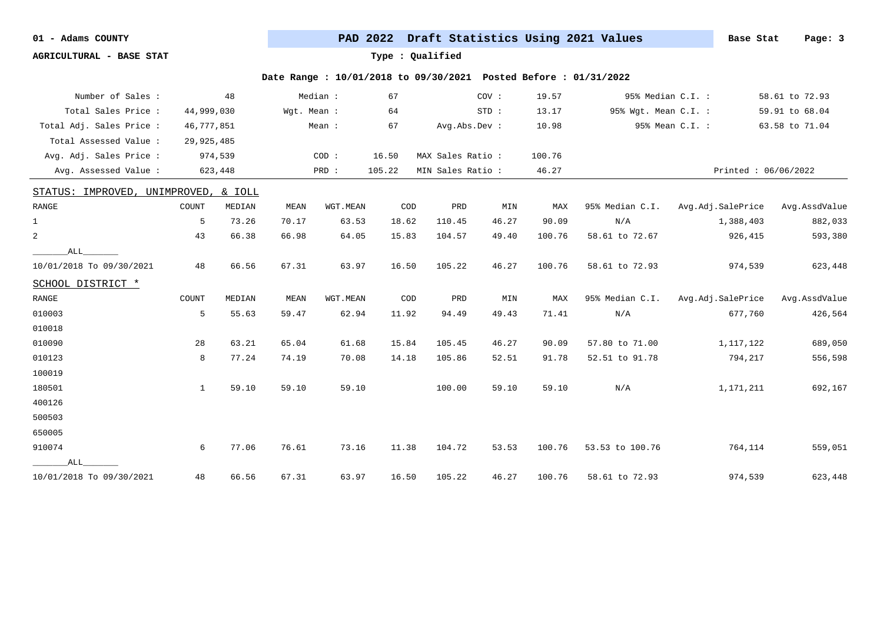**AGRICULTURAL - BASE STAT Type : Qualified**

| Number of Sales :             |              | 48                 |             | Median : | 67                          |                   | COV:  | 19.57  |                      | 95% Median C.I. : | 58.61 to 72.93      |
|-------------------------------|--------------|--------------------|-------------|----------|-----------------------------|-------------------|-------|--------|----------------------|-------------------|---------------------|
| Total Sales Price :           | 44,999,030   |                    | Wqt. Mean : |          | 64                          |                   | STD:  | 13.17  | 95% Wgt. Mean C.I. : |                   | 59.91 to 68.04      |
| Total Adj. Sales Price :      | 46,777,851   |                    |             | Mean :   | 67                          | Avg.Abs.Dev :     |       | 10.98  |                      | 95% Mean C.I. :   | 63.58 to 71.04      |
| Total Assessed Value :        | 29,925,485   |                    |             |          |                             |                   |       |        |                      |                   |                     |
| Avg. Adj. Sales Price :       |              | 974,539            |             | COD:     | 16.50                       | MAX Sales Ratio : |       | 100.76 |                      |                   |                     |
| Avg. Assessed Value :         |              | 623,448            |             | PRD :    | 105.22                      | MIN Sales Ratio : |       | 46.27  |                      |                   | Printed: 06/06/2022 |
| STATUS: IMPROVED,             |              | UNIMPROVED, & IOLL |             |          |                             |                   |       |        |                      |                   |                     |
| RANGE                         | COUNT        | MEDIAN             | MEAN        | WGT.MEAN | $\mathop{\rm COD}\nolimits$ | PRD               | MIN   | MAX    | 95% Median C.I.      | Avg.Adj.SalePrice | Avg.AssdValue       |
| $\mathbf{1}$                  | 5            | 73.26              | 70.17       | 63.53    | 18.62                       | 110.45            | 46.27 | 90.09  | N/A                  | 1,388,403         | 882,033             |
| $\overline{a}$                | 43           | 66.38              | 66.98       | 64.05    | 15.83                       | 104.57            | 49.40 | 100.76 | 58.61 to 72.67       | 926,415           | 593,380             |
| ALL                           |              |                    |             |          |                             |                   |       |        |                      |                   |                     |
| 10/01/2018 To 09/30/2021      | 48           | 66.56              | 67.31       | 63.97    | 16.50                       | 105.22            | 46.27 | 100.76 | 58.61 to 72.93       | 974,539           | 623,448             |
| SCHOOL DISTRICT *             |              |                    |             |          |                             |                   |       |        |                      |                   |                     |
| $\ensuremath{\mathsf{RANGE}}$ | COUNT        | MEDIAN             | MEAN        | WGT.MEAN | COD                         | PRD               | MIN   | MAX    | 95% Median C.I.      | Avg.Adj.SalePrice | Avg.AssdValue       |
| 010003                        | 5            | 55.63              | 59.47       | 62.94    | 11.92                       | 94.49             | 49.43 | 71.41  | N/A                  | 677,760           | 426,564             |
| 010018                        |              |                    |             |          |                             |                   |       |        |                      |                   |                     |
| 010090                        | 28           | 63.21              | 65.04       | 61.68    | 15.84                       | 105.45            | 46.27 | 90.09  | 57.80 to 71.00       | 1,117,122         | 689,050             |
| 010123                        | 8            | 77.24              | 74.19       | 70.08    | 14.18                       | 105.86            | 52.51 | 91.78  | 52.51 to 91.78       | 794,217           | 556,598             |
| 100019                        |              |                    |             |          |                             |                   |       |        |                      |                   |                     |
| 180501                        | $\mathbf{1}$ | 59.10              | 59.10       | 59.10    |                             | 100.00            | 59.10 | 59.10  | N/A                  | 1,171,211         | 692,167             |
| 400126                        |              |                    |             |          |                             |                   |       |        |                      |                   |                     |
| 500503                        |              |                    |             |          |                             |                   |       |        |                      |                   |                     |
| 650005                        |              |                    |             |          |                             |                   |       |        |                      |                   |                     |
| 910074                        | 6            | 77.06              | 76.61       | 73.16    | 11.38                       | 104.72            | 53.53 | 100.76 | 53.53 to 100.76      | 764,114           | 559,051             |
| ALL                           |              |                    |             |          |                             |                   |       |        |                      |                   |                     |
| 10/01/2018 To 09/30/2021      | 48           | 66.56              | 67.31       | 63.97    | 16.50                       | 105.22            | 46.27 | 100.76 | 58.61 to 72.93       | 974,539           | 623,448             |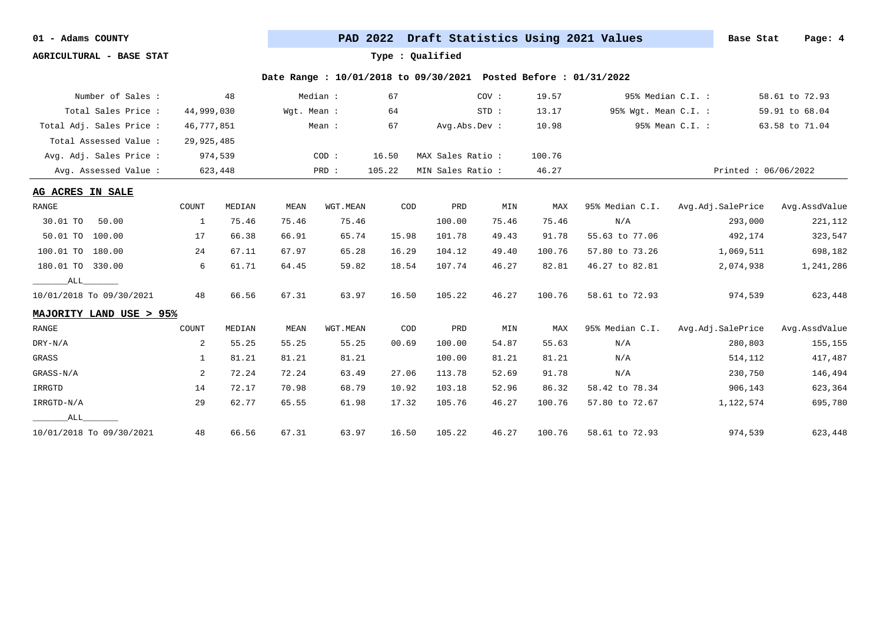**AGRICULTURAL - BASE STAT Type : Qualified**

| Number of Sales :        |            | 48      |             | Median : | 67     |                   | COV:  | 19.57  |                      | 95% Median C.I. : | 58.61 to 72.93      |
|--------------------------|------------|---------|-------------|----------|--------|-------------------|-------|--------|----------------------|-------------------|---------------------|
| Total Sales Price:       | 44,999,030 |         | Wqt. Mean : |          | 64     |                   | STD:  | 13.17  | 95% Wgt. Mean C.I. : |                   | 59.91 to 68.04      |
| Total Adj. Sales Price : | 46,777,851 |         |             | Mean :   | 67     | Avg.Abs.Dev :     |       | 10.98  |                      | 95% Mean C.I. :   | 63.58 to 71.04      |
| Total Assessed Value:    | 29,925,485 |         |             |          |        |                   |       |        |                      |                   |                     |
| Avg. Adj. Sales Price :  |            | 974,539 |             | COD:     | 16.50  | MAX Sales Ratio:  |       | 100.76 |                      |                   |                     |
| Avg. Assessed Value :    |            | 623,448 |             | PRD :    | 105.22 | MIN Sales Ratio : |       | 46.27  |                      |                   | Printed: 06/06/2022 |
| AG ACRES IN SALE         |            |         |             |          |        |                   |       |        |                      |                   |                     |
| RANGE                    | COUNT      | MEDIAN  | MEAN        | WGT.MEAN | COD    | PRD               | MIN   | MAX    | 95% Median C.I.      | Avg.Adj.SalePrice | Avg.AssdValue       |
| 30.01 TO<br>50.00        | 1          | 75.46   | 75.46       | 75.46    |        | 100.00            | 75.46 | 75.46  | N/A                  | 293,000           | 221,112             |
| 50.01 TO<br>100.00       | 17         | 66.38   | 66.91       | 65.74    | 15.98  | 101.78            | 49.43 | 91.78  | 55.63 to 77.06       | 492,174           | 323,547             |
| 100.01 TO<br>180.00      | 24         | 67.11   | 67.97       | 65.28    | 16.29  | 104.12            | 49.40 | 100.76 | 57.80 to 73.26       | 1,069,511         | 698,182             |
| 180.01 TO 330.00         | 6          | 61.71   | 64.45       | 59.82    | 18.54  | 107.74            | 46.27 | 82.81  | 46.27 to 82.81       | 2,074,938         | 1,241,286           |
| ALL                      |            |         |             |          |        |                   |       |        |                      |                   |                     |
| 10/01/2018 To 09/30/2021 | 48         | 66.56   | 67.31       | 63.97    | 16.50  | 105.22            | 46.27 | 100.76 | 58.61 to 72.93       | 974,539           | 623,448             |
| MAJORITY LAND USE > 95%  |            |         |             |          |        |                   |       |        |                      |                   |                     |
| RANGE                    | COUNT      | MEDIAN  | MEAN        | WGT.MEAN | COD    | PRD               | MIN   | MAX    | 95% Median C.I.      | Avg.Adj.SalePrice | Avg.AssdValue       |
| $DRY-N/A$                | 2          | 55.25   | 55.25       | 55.25    | 00.69  | 100.00            | 54.87 | 55.63  | N/A                  | 280,803           | 155,155             |
| GRASS                    | 1          | 81.21   | 81.21       | 81.21    |        | 100.00            | 81.21 | 81.21  | N/A                  | 514,112           | 417,487             |
| GRASS-N/A                | 2          | 72.24   | 72.24       | 63.49    | 27.06  | 113.78            | 52.69 | 91.78  | N/A                  | 230,750           | 146,494             |
| IRRGTD                   | 14         | 72.17   | 70.98       | 68.79    | 10.92  | 103.18            | 52.96 | 86.32  | 58.42 to 78.34       | 906,143           | 623,364             |
| IRRGTD-N/A               | 29         | 62.77   | 65.55       | 61.98    | 17.32  | 105.76            | 46.27 | 100.76 | 57.80 to 72.67       | 1,122,574         | 695,780             |
| ALL                      |            |         |             |          |        |                   |       |        |                      |                   |                     |
| 10/01/2018 To 09/30/2021 | 48         | 66.56   | 67.31       | 63.97    | 16.50  | 105.22            | 46.27 | 100.76 | 58.61 to 72.93       | 974,539           | 623,448             |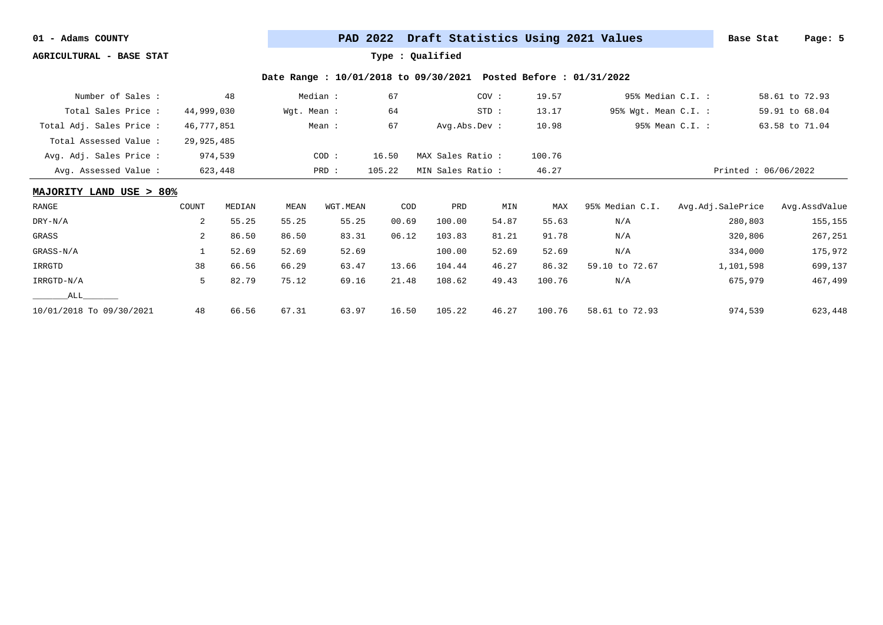**AGRICULTURAL - BASE STAT Type : Qualified**

| Number of Sales :        |            | 48      |             | Median : | 67     |                   | COV:    | 19.57  | 95% Median C.I. :    |                     | 58.61 to 72.93 |
|--------------------------|------------|---------|-------------|----------|--------|-------------------|---------|--------|----------------------|---------------------|----------------|
| Total Sales Price:       | 44,999,030 |         | Wgt. Mean : |          | 64     |                   | $STD$ : | 13.17  | 95% Wgt. Mean C.I. : |                     | 59.91 to 68.04 |
| Total Adj. Sales Price : | 46,777,851 |         |             | Mean :   | 67     | Avg. Abs. Dev:    |         | 10.98  |                      | 95% Mean C.I. :     | 63.58 to 71.04 |
| Total Assessed Value:    | 29,925,485 |         |             |          |        |                   |         |        |                      |                     |                |
| Avg. Adj. Sales Price :  |            | 974,539 |             | COD:     | 16.50  | MAX Sales Ratio:  |         | 100.76 |                      |                     |                |
| Avg. Assessed Value:     |            | 623,448 |             | PRD :    | 105.22 | MIN Sales Ratio : |         | 46.27  |                      | Printed: 06/06/2022 |                |
| MAJORITY LAND USE > 80%  |            |         |             |          |        |                   |         |        |                      |                     |                |
| RANGE                    | COUNT      | MEDIAN  | MEAN        | WGT.MEAN | COD    | PRD               | MIN     | MAX    | 95% Median C.I.      | Avg.Adj.SalePrice   | Avg.AssdValue  |
| DRY-N/A                  | 2          | 55.25   | 55.25       | 55.25    | 00.69  | 100.00            | 54.87   | 55.63  | N/A                  | 280,803             | 155,155        |
| GRASS                    | 2          | 86.50   | 86.50       | 83.31    | 06.12  | 103.83            | 81.21   | 91.78  | N/A                  | 320,806             | 267,251        |
| GRASS-N/A                |            | 52.69   | 52.69       | 52.69    |        | 100.00            | 52.69   | 52.69  | N/A                  | 334,000             | 175,972        |
| IRRGTD                   | 38         | 66.56   | 66.29       | 63.47    | 13.66  | 104.44            | 46.27   | 86.32  | 59.10 to 72.67       | 1,101,598           | 699,137        |
| IRRGTD-N/A               | 5          | 82.79   | 75.12       | 69.16    | 21.48  | 108.62            | 49.43   | 100.76 | N/A                  | 675,979             | 467,499        |
| ALL                      |            |         |             |          |        |                   |         |        |                      |                     |                |
| 10/01/2018 To 09/30/2021 | 48         | 66.56   | 67.31       | 63.97    | 16.50  | 105.22            | 46.27   | 100.76 | 58.61 to 72.93       | 974,539             | 623,448        |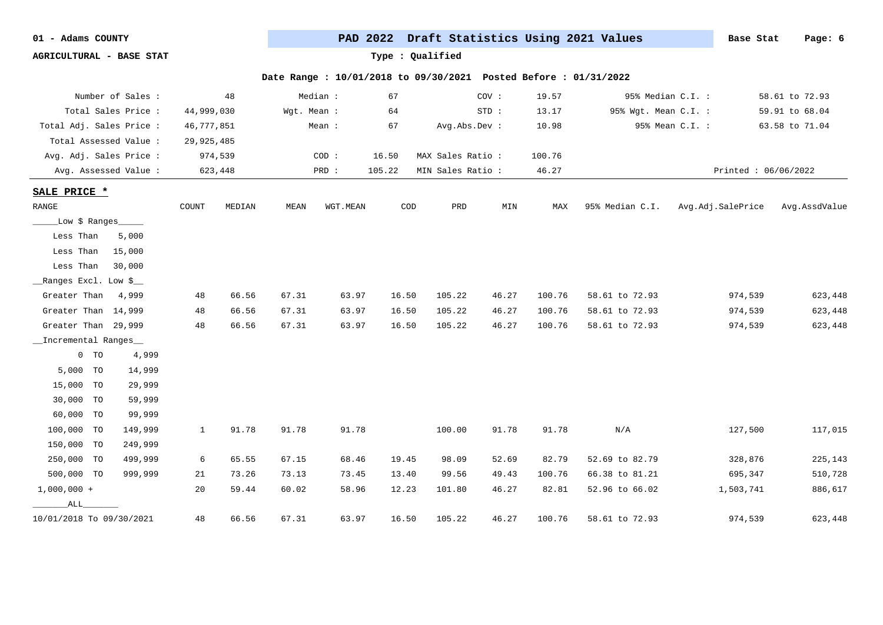| 01 |  | Adams COUNTY |
|----|--|--------------|
|----|--|--------------|

PAD 2022 Draft Statistics Using 2021 Values **Base Stat** Page: 6

**AGRICULTURAL - BASE STAT Type : Qualified**

|                               | Number of Sales :   |              | 48      |             | Median : | 67     |                   | COV:  | 19.57  |                      | 95% Median C.I. :   | 58.61 to 72.93 |
|-------------------------------|---------------------|--------------|---------|-------------|----------|--------|-------------------|-------|--------|----------------------|---------------------|----------------|
|                               | Total Sales Price : | 44,999,030   |         | Wgt. Mean : |          | 64     |                   | STD:  | 13.17  | 95% Wgt. Mean C.I. : |                     | 59.91 to 68.04 |
| Total Adj. Sales Price :      |                     | 46,777,851   |         |             | Mean :   | 67     | Avg.Abs.Dev :     |       | 10.98  |                      | 95% Mean C.I. :     | 63.58 to 71.04 |
| Total Assessed Value :        |                     | 29,925,485   |         |             |          |        |                   |       |        |                      |                     |                |
| Avg. Adj. Sales Price :       |                     |              | 974,539 |             | COD:     | 16.50  | MAX Sales Ratio : |       | 100.76 |                      |                     |                |
| Avg. Assessed Value :         |                     |              | 623,448 |             | PRD :    | 105.22 | MIN Sales Ratio : |       | 46.27  |                      | Printed: 06/06/2022 |                |
|                               |                     |              |         |             |          |        |                   |       |        |                      |                     |                |
| SALE PRICE *                  |                     |              |         |             |          |        |                   |       |        |                      |                     |                |
| $\ensuremath{\mathsf{RANGE}}$ |                     | COUNT        | MEDIAN  | MEAN        | WGT.MEAN | COD    | PRD               | MIN   | MAX    | 95% Median C.I.      | Avg.Adj.SalePrice   | Avg.AssdValue  |
| _Low \$ Ranges_               |                     |              |         |             |          |        |                   |       |        |                      |                     |                |
| Less Than                     | 5,000               |              |         |             |          |        |                   |       |        |                      |                     |                |
| Less Than                     | 15,000              |              |         |             |          |        |                   |       |        |                      |                     |                |
| Less Than                     | 30,000              |              |         |             |          |        |                   |       |        |                      |                     |                |
| __Ranges Excl. Low \$__       |                     |              |         |             |          |        |                   |       |        |                      |                     |                |
| Greater Than                  | 4,999               | 48           | 66.56   | 67.31       | 63.97    | 16.50  | 105.22            | 46.27 | 100.76 | 58.61 to 72.93       | 974,539             | 623,448        |
| Greater Than 14,999           |                     | 48           | 66.56   | 67.31       | 63.97    | 16.50  | 105.22            | 46.27 | 100.76 | 58.61 to 72.93       | 974,539             | 623,448        |
| Greater Than 29,999           |                     | 48           | 66.56   | 67.31       | 63.97    | 16.50  | 105.22            | 46.27 | 100.76 | 58.61 to 72.93       | 974,539             | 623,448        |
| _Incremental Ranges           |                     |              |         |             |          |        |                   |       |        |                      |                     |                |
| $0$ TO                        | 4,999               |              |         |             |          |        |                   |       |        |                      |                     |                |
| 5,000 TO                      | 14,999              |              |         |             |          |        |                   |       |        |                      |                     |                |
| 15,000 TO                     | 29,999              |              |         |             |          |        |                   |       |        |                      |                     |                |
| 30,000 TO                     | 59,999              |              |         |             |          |        |                   |       |        |                      |                     |                |
| 60,000 TO                     | 99,999              |              |         |             |          |        |                   |       |        |                      |                     |                |
| 100,000 TO                    | 149,999             | $\mathbf{1}$ | 91.78   | 91.78       | 91.78    |        | 100.00            | 91.78 | 91.78  | N/A                  | 127,500             | 117,015        |
| 150,000 TO                    | 249,999             |              |         |             |          |        |                   |       |        |                      |                     |                |
| 250,000 TO                    | 499,999             | 6            | 65.55   | 67.15       | 68.46    | 19.45  | 98.09             | 52.69 | 82.79  | 52.69 to 82.79       | 328,876             | 225,143        |
| 500,000 TO                    | 999,999             | 21           | 73.26   | 73.13       | 73.45    | 13.40  | 99.56             | 49.43 | 100.76 | 66.38 to 81.21       | 695,347             | 510,728        |
| $1,000,000 +$                 |                     | 20           | 59.44   | 60.02       | 58.96    | 12.23  | 101.80            | 46.27 | 82.81  | 52.96 to 66.02       | 1,503,741           | 886,617        |
| ALL                           |                     |              |         |             |          |        |                   |       |        |                      |                     |                |
| 10/01/2018 To 09/30/2021      |                     | 48           | 66.56   | 67.31       | 63.97    | 16.50  | 105.22            | 46.27 | 100.76 | 58.61 to 72.93       | 974,539             | 623,448        |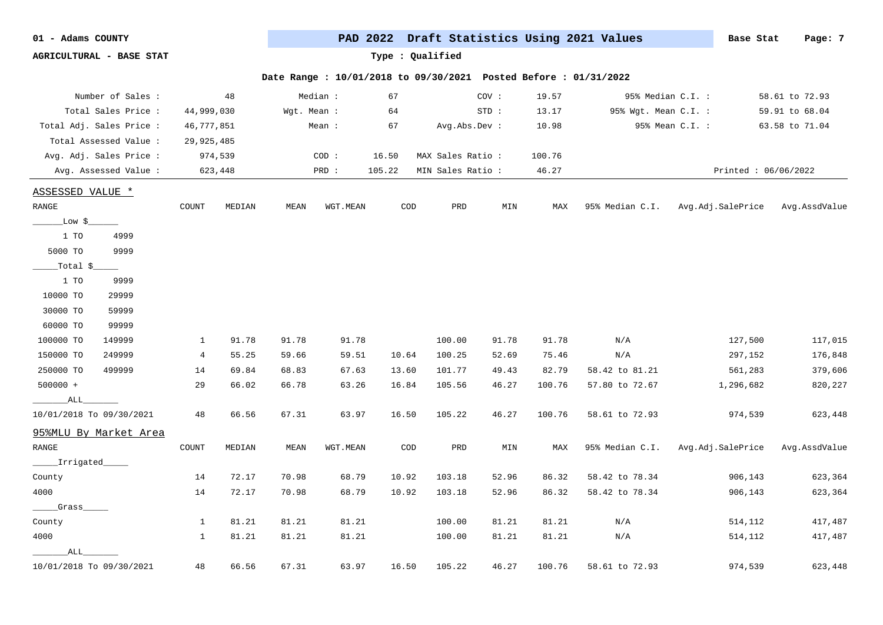| 01 |  | Adams COUNTY |
|----|--|--------------|
|----|--|--------------|

PAD 2022 Draft Statistics Using 2021 Values **Base Stat** Page: 7

**AGRICULTURAL - BASE STAT Type : Qualified**

| Number of Sales :        |                | 48      |             | Median : | 67     |                  | COV:  | 19.57  |                      | 95% Median C.I. :   | 58.61 to 72.93 |
|--------------------------|----------------|---------|-------------|----------|--------|------------------|-------|--------|----------------------|---------------------|----------------|
| Total Sales Price :      | 44,999,030     |         | Wgt. Mean : |          | 64     |                  | STD:  | 13.17  | 95% Wgt. Mean C.I. : |                     | 59.91 to 68.04 |
| Total Adj. Sales Price : | 46,777,851     |         |             | Mean :   | 67     | Avg.Abs.Dev :    |       | 10.98  |                      | 95% Mean C.I. :     | 63.58 to 71.04 |
| Total Assessed Value :   | 29,925,485     |         |             |          |        |                  |       |        |                      |                     |                |
| Avg. Adj. Sales Price :  |                | 974,539 |             | COD:     | 16.50  | MAX Sales Ratio: |       | 100.76 |                      |                     |                |
| Avg. Assessed Value :    |                | 623,448 |             | PRD :    | 105.22 | MIN Sales Ratio: |       | 46.27  |                      | Printed: 06/06/2022 |                |
| ASSESSED VALUE *         |                |         |             |          |        |                  |       |        |                      |                     |                |
| RANGE                    | COUNT          | MEDIAN  | MEAN        | WGT.MEAN | COD    | PRD              | MIN   | MAX    | 95% Median C.I.      | Avg.Adj.SalePrice   | Avg.AssdValue  |
|                          |                |         |             |          |        |                  |       |        |                      |                     |                |
| _Low \$_                 |                |         |             |          |        |                  |       |        |                      |                     |                |
| 1 TO<br>4999             |                |         |             |          |        |                  |       |        |                      |                     |                |
| 9999<br>5000 TO          |                |         |             |          |        |                  |       |        |                      |                     |                |
| $Total$ \$               |                |         |             |          |        |                  |       |        |                      |                     |                |
| 1 TO<br>9999             |                |         |             |          |        |                  |       |        |                      |                     |                |
| 10000 TO<br>29999        |                |         |             |          |        |                  |       |        |                      |                     |                |
| 30000 TO<br>59999        |                |         |             |          |        |                  |       |        |                      |                     |                |
| 60000 TO<br>99999        |                |         |             |          |        |                  |       |        |                      |                     |                |
| 100000 TO<br>149999      | $\mathbf{1}$   | 91.78   | 91.78       | 91.78    |        | 100.00           | 91.78 | 91.78  | N/A                  | 127,500             | 117,015        |
| 249999<br>150000 TO      | $\overline{4}$ | 55.25   | 59.66       | 59.51    | 10.64  | 100.25           | 52.69 | 75.46  | N/A                  | 297,152             | 176,848        |
| 250000 TO<br>499999      | 14             | 69.84   | 68.83       | 67.63    | 13.60  | 101.77           | 49.43 | 82.79  | 58.42 to 81.21       | 561,283             | 379,606        |
| 500000 +                 | 29             | 66.02   | 66.78       | 63.26    | 16.84  | 105.56           | 46.27 | 100.76 | 57.80 to 72.67       | 1,296,682           | 820,227        |
| _ALL_                    |                |         |             |          |        |                  |       |        |                      |                     |                |
| 10/01/2018 To 09/30/2021 | 48             | 66.56   | 67.31       | 63.97    | 16.50  | 105.22           | 46.27 | 100.76 | 58.61 to 72.93       | 974,539             | 623,448        |
| 95%MLU By Market Area    |                |         |             |          |        |                  |       |        |                      |                     |                |
| RANGE                    | COUNT          | MEDIAN  | MEAN        | WGT.MEAN | COD    | PRD              | MIN   | MAX    | 95% Median C.I.      | Avg.Adj.SalePrice   | Avg.AssdValue  |
| _____Irrigated_          |                |         |             |          |        |                  |       |        |                      |                     |                |
| County                   | 14             | 72.17   | 70.98       | 68.79    | 10.92  | 103.18           | 52.96 | 86.32  | 58.42 to 78.34       | 906,143             | 623,364        |
| 4000                     | 14             | 72.17   | 70.98       | 68.79    | 10.92  | 103.18           | 52.96 | 86.32  | 58.42 to 78.34       | 906,143             | 623,364        |
| Grass                    |                |         |             |          |        |                  |       |        |                      |                     |                |
| County                   | 1              | 81.21   | 81.21       | 81.21    |        | 100.00           | 81.21 | 81.21  | N/A                  | 514,112             | 417,487        |
| 4000                     | 1              | 81.21   | 81.21       | 81.21    |        | 100.00           | 81.21 | 81.21  | N/A                  | 514,112             | 417,487        |
| ALL                      |                |         |             |          |        |                  |       |        |                      |                     |                |
| 10/01/2018 To 09/30/2021 | 48             | 66.56   | 67.31       | 63.97    | 16.50  | 105.22           | 46.27 | 100.76 | 58.61 to 72.93       | 974,539             | 623,448        |